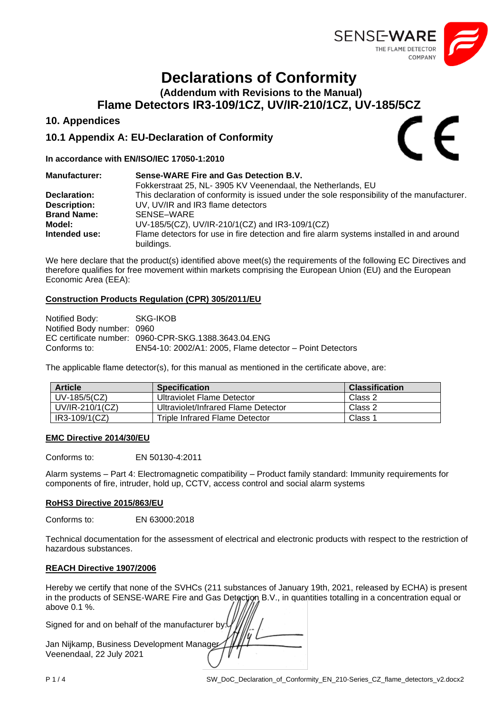

# **Declarations of Conformity**

**(Addendum with Revisions to the Manual)**

**Flame Detectors IR3-109/1CZ, UV/IR-210/1CZ, UV-185/5CZ**

## **10. Appendices**

## **10.1 Appendix A: EU-Declaration of Conformity**

### **In accordance with EN/ISO/IEC 17050-1:2010**

| <b>Manufacturer:</b> | Sense-WARE Fire and Gas Detection B.V.                                                                 |
|----------------------|--------------------------------------------------------------------------------------------------------|
|                      | Fokkerstraat 25, NL-3905 KV Veenendaal, the Netherlands, EU                                            |
| Declaration:         | This declaration of conformity is issued under the sole responsibility of the manufacturer.            |
| <b>Description:</b>  | UV, UV/IR and IR3 flame detectors                                                                      |
| <b>Brand Name:</b>   | SENSE-WARE                                                                                             |
| Model:               | UV-185/5(CZ), UV/IR-210/1(CZ) and IR3-109/1(CZ)                                                        |
| Intended use:        | Flame detectors for use in fire detection and fire alarm systems installed in and around<br>buildings. |

We here declare that the product(s) identified above meet(s) the requirements of the following EC Directives and therefore qualifies for free movement within markets comprising the European Union (EU) and the European Economic Area (EEA):

### **Construction Products Regulation (CPR) 305/2011/EU**

| Notified Body:             | SKG-IKOB                                                 |
|----------------------------|----------------------------------------------------------|
| Notified Body number: 0960 |                                                          |
|                            | EC certificate number: 0960-CPR-SKG.1388.3643.04.ENG     |
| Conforms to:               | EN54-10: 2002/A1: 2005, Flame detector - Point Detectors |

The applicable flame detector(s), for this manual as mentioned in the certificate above, are:

| <b>Article</b>  | <b>Specification</b>                | <b>Classification</b> |
|-----------------|-------------------------------------|-----------------------|
| UV-185/5(CZ)    | Ultraviolet Flame Detector          | Class 2               |
| UV/IR-210/1(CZ) | Ultraviolet/Infrared Flame Detector | Class 2               |
| IR3-109/1(CZ)   | Triple Infrared Flame Detector      | Class 1               |

### **EMC Directive 2014/30/EU**

Conforms to: EN 50130-4:2011

Alarm systems – Part 4: Electromagnetic compatibility – Product family standard: Immunity requirements for components of fire, intruder, hold up, CCTV, access control and social alarm systems

### **RoHS3 Directive 2015/863/EU**

Conforms to: EN 63000:2018

Technical documentation for the assessment of electrical and electronic products with respect to the restriction of hazardous substances.

### **REACH Directive 1907/2006**

Hereby we certify that none of the SVHCs (211 substances of January 19th, 2021, released by ECHA) is present in the products of SENSE-WARE Fire and Gas Detection B.V., in quantities totalling in a concentration equal or above 0.1 %.

Signed for and on behalf of the manufacturer by:

| Jan Nijkamp, Business Development Manager |  |
|-------------------------------------------|--|
| Veenendaal, 22 July 2021                  |  |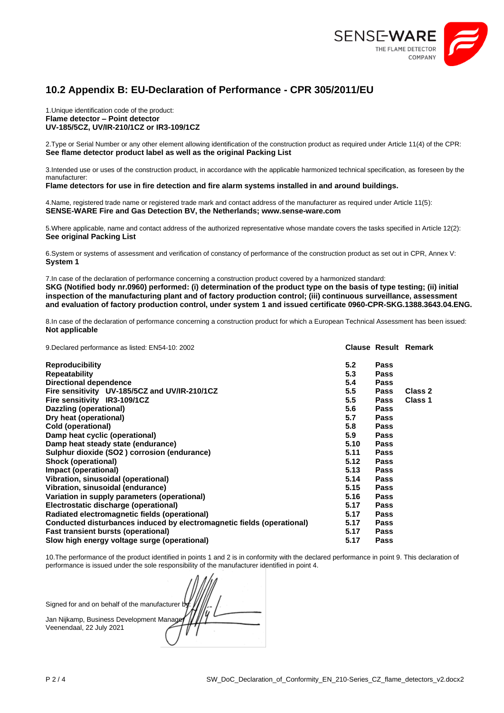

# **10.2 Appendix B: EU-Declaration of Performance - CPR 305/2011/EU**

1.Unique identification code of the product: **Flame detector – Point detector UV-185/5CZ, UV/IR-210/1CZ or IR3-109/1CZ**

2.Type or Serial Number or any other element allowing identification of the construction product as required under Article 11(4) of the CPR: **See flame detector product label as well as the original Packing List**

3.Intended use or uses of the construction product, in accordance with the applicable harmonized technical specification, as foreseen by the manufacturer:

**Flame detectors for use in fire detection and fire alarm systems installed in and around buildings.**

4.Name, registered trade name or registered trade mark and contact address of the manufacturer as required under Article 11(5): **SENSE-WARE Fire and Gas Detection BV, the Netherlands; www.sense-ware.com**

5.Where applicable, name and contact address of the authorized representative whose mandate covers the tasks specified in Article 12(2): **See original Packing List**

6.System or systems of assessment and verification of constancy of performance of the construction product as set out in CPR, Annex V: **System 1**

7.In case of the declaration of performance concerning a construction product covered by a harmonized standard: **SKG (Notified body nr.0960) performed: (i) determination of the product type on the basis of type testing; (ii) initial inspection of the manufacturing plant and of factory production control; (iii) continuous surveillance, assessment and evaluation of factory production control, under system 1 and issued certificate 0960-CPR-SKG.1388.3643.04.ENG.**

8.In case of the declaration of performance concerning a construction product for which a European Technical Assessment has been issued: **Not applicable**

| 9. Declared performance as listed: EN54-10: 2002                       |      |             | <b>Clause Result Remark</b> |
|------------------------------------------------------------------------|------|-------------|-----------------------------|
| Reproducibility                                                        | 5.2  | Pass        |                             |
| Repeatability                                                          | 5.3  | <b>Pass</b> |                             |
| <b>Directional dependence</b>                                          | 5.4  | <b>Pass</b> |                             |
| Fire sensitivity UV-185/5CZ and UV/IR-210/1CZ                          | 5.5  | <b>Pass</b> | Class 2                     |
| Fire sensitivity IR3-109/1CZ                                           | 5.5  | <b>Pass</b> | Class 1                     |
| Dazzling (operational)                                                 | 5.6  | <b>Pass</b> |                             |
| Dry heat (operational)                                                 | 5.7  | <b>Pass</b> |                             |
| Cold (operational)                                                     | 5.8  | <b>Pass</b> |                             |
| Damp heat cyclic (operational)                                         | 5.9  | <b>Pass</b> |                             |
| Damp heat steady state (endurance)                                     | 5.10 | <b>Pass</b> |                             |
| Sulphur dioxide (SO2) corrosion (endurance)                            | 5.11 | <b>Pass</b> |                             |
| <b>Shock (operational)</b>                                             | 5.12 | <b>Pass</b> |                             |
| Impact (operational)                                                   | 5.13 | <b>Pass</b> |                             |
| Vibration, sinusoidal (operational)                                    | 5.14 | <b>Pass</b> |                             |
| Vibration, sinusoidal (endurance)                                      | 5.15 | <b>Pass</b> |                             |
| Variation in supply parameters (operational)                           | 5.16 | <b>Pass</b> |                             |
| Electrostatic discharge (operational)                                  | 5.17 | <b>Pass</b> |                             |
| Radiated electromagnetic fields (operational)                          | 5.17 | <b>Pass</b> |                             |
| Conducted disturbances induced by electromagnetic fields (operational) | 5.17 | <b>Pass</b> |                             |
| Fast transient bursts (operational)                                    | 5.17 | <b>Pass</b> |                             |
| Slow high energy voltage surge (operational)                           | 5.17 | Pass        |                             |

10.The performance of the product identified in points 1 and 2 is in conformity with the declared performance in point 9. This declaration of performance is issued under the sole responsibility of the manufacturer identified in point 4.

| Signed for and on behalf of the manufacturer by |  |
|-------------------------------------------------|--|
| Jan Nijkamp, Business Development Manager       |  |
| Veenendaal, 22 July 2021                        |  |
|                                                 |  |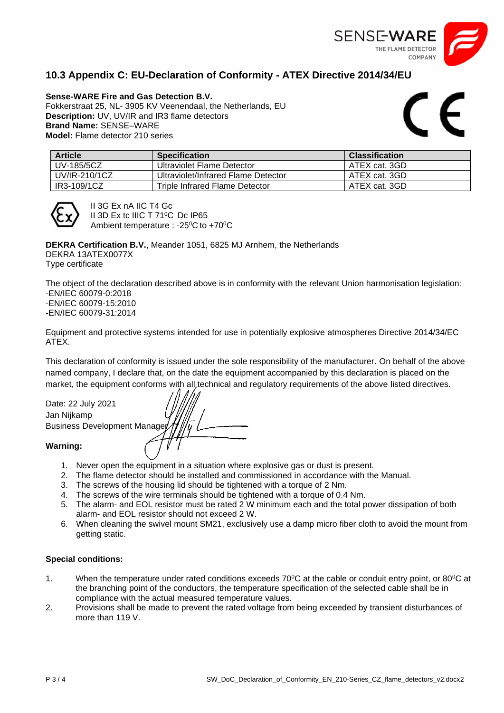

# **10.3 Appendix C: EU-Declaration of Conformity - ATEX Directive 2014/34/EU**

**Sense-WARE Fire and Gas Detection B.V.**  Fokkerstraat 25, NL- 3905 KV Veenendaal, the Netherlands, EU **Description:** UV, UV/IR and IR3 flame detectors **Brand Name:** SENSE–WARE **Model:** Flame detector 210 series

 $\epsilon$ 

| <b>Article</b> | <b>Specification</b>                | <b>Classification</b> |
|----------------|-------------------------------------|-----------------------|
| UV-185/5CZ     | Ultraviolet Flame Detector          | ATEX cat. 3GD         |
| UV/IR-210/1CZ  | Ultraviolet/Infrared Flame Detector | ATEX cat. 3GD         |
| IR3-109/1CZ    | Triple Infrared Flame Detector      | ATEX cat. 3GD         |



II 3G Ex nA IIC T4 Gc II 3D Ex tc IIIC T 71°C Dc IP65 Ambient temperature : -25<sup>0</sup>C to +70<sup>0</sup>C

**DEKRA Certification B.V.**, Meander 1051, 6825 MJ Arnhem, the Netherlands DEKRA 13ATEX0077X Type certificate

The object of the declaration described above is in conformity with the relevant Union harmonisation legislation: -EN/IEC 60079-0:2018 -EN/IEC 60079-15:2010 -EN/IEC 60079-31:2014

Equipment and protective systems intended for use in potentially explosive atmospheres Directive 2014/34/EC ATEX.

This declaration of conformity is issued under the sole responsibility of the manufacturer. On behalf of the above named company, I declare that, on the date the equipment accompanied by this declaration is placed on the market, the equipment conforms with all technical and regulatory requirements of the above listed directives.

Date: 22 July 2021 Jan Nijkamp **Business Development Manage Warning:**

- 1. Never open the equipment in a situation where explosive gas or dust is present.
- 2. The flame detector should be installed and commissioned in accordance with the Manual.
- 3. The screws of the housing lid should be tightened with a torque of 2 Nm.
- 4. The screws of the wire terminals should be tightened with a torque of 0.4 Nm.
- 5. The alarm- and EOL resistor must be rated 2 W minimum each and the total power dissipation of both alarm- and EOL resistor should not exceed 2 W.
- 6. When cleaning the swivel mount SM21, exclusively use a damp micro fiber cloth to avoid the mount from getting static.

### **Special conditions:**

- 1. When the temperature under rated conditions exceeds 70°C at the cable or conduit entry point, or 80°C at the branching point of the conductors, the temperature specification of the selected cable shall be in compliance with the actual measured temperature values.
- 2. Provisions shall be made to prevent the rated voltage from being exceeded by transient disturbances of more than 119 V.